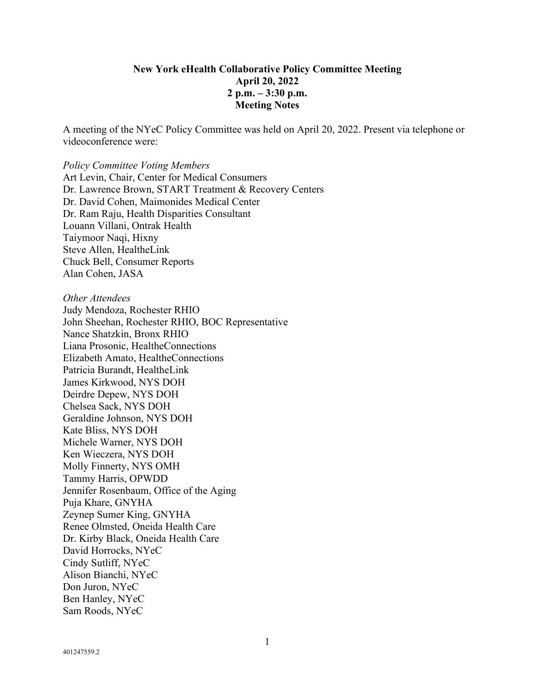#### **New York eHealth Collaborative Policy Committee Meeting April 20, 2022 2 p.m. – 3:30 p.m. Meeting Notes**

A meeting of the NYeC Policy Committee was held on April 20, 2022. Present via telephone or videoconference were:

# *Policy Committee Voting Members* Art Levin, Chair, Center for Medical Consumers Dr. Lawrence Brown, START Treatment & Recovery Centers Dr. David Cohen, Maimonides Medical Center Dr. Ram Raju, Health Disparities Consultant Louann Villani, Ontrak Health

Taiymoor Naqi, Hixny Steve Allen, HealtheLink Chuck Bell, Consumer Reports Alan Cohen, JASA

*Other Attendees*

Judy Mendoza, Rochester RHIO John Sheehan, Rochester RHIO, BOC Representative Nance Shatzkin, Bronx RHIO Liana Prosonic, HealtheConnections Elizabeth Amato, HealtheConnections Patricia Burandt, HealtheLink James Kirkwood, NYS DOH Deirdre Depew, NYS DOH Chelsea Sack, NYS DOH Geraldine Johnson, NYS DOH Kate Bliss, NYS DOH Michele Warner, NYS DOH Ken Wieczera, NYS DOH Molly Finnerty, NYS OMH Tammy Harris, OPWDD Jennifer Rosenbaum, Office of the Aging Puja Khare, GNYHA Zeynep Sumer King, GNYHA Renee Olmsted, Oneida Health Care Dr. Kirby Black, Oneida Health Care David Horrocks, NYeC Cindy Sutliff, NYeC Alison Bianchi, NYeC Don Juron, NYeC Ben Hanley, NYeC Sam Roods, NYeC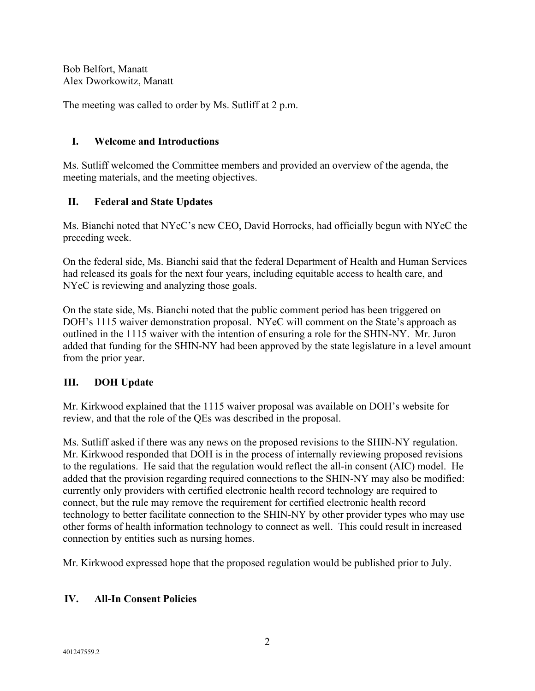Bob Belfort, Manatt Alex Dworkowitz, Manatt

The meeting was called to order by Ms. Sutliff at 2 p.m.

#### **I. Welcome and Introductions**

Ms. Sutliff welcomed the Committee members and provided an overview of the agenda, the meeting materials, and the meeting objectives.

# **II. Federal and State Updates**

Ms. Bianchi noted that NYeC's new CEO, David Horrocks, had officially begun with NYeC the preceding week.

On the federal side, Ms. Bianchi said that the federal Department of Health and Human Services had released its goals for the next four years, including equitable access to health care, and NYeC is reviewing and analyzing those goals.

On the state side, Ms. Bianchi noted that the public comment period has been triggered on DOH's 1115 waiver demonstration proposal. NYeC will comment on the State's approach as outlined in the 1115 waiver with the intention of ensuring a role for the SHIN-NY. Mr. Juron added that funding for the SHIN-NY had been approved by the state legislature in a level amount from the prior year.

# **III. DOH Update**

Mr. Kirkwood explained that the 1115 waiver proposal was available on DOH's website for review, and that the role of the QEs was described in the proposal.

Ms. Sutliff asked if there was any news on the proposed revisions to the SHIN-NY regulation. Mr. Kirkwood responded that DOH is in the process of internally reviewing proposed revisions to the regulations. He said that the regulation would reflect the all-in consent (AIC) model. He added that the provision regarding required connections to the SHIN-NY may also be modified: currently only providers with certified electronic health record technology are required to connect, but the rule may remove the requirement for certified electronic health record technology to better facilitate connection to the SHIN-NY by other provider types who may use other forms of health information technology to connect as well. This could result in increased connection by entities such as nursing homes.

Mr. Kirkwood expressed hope that the proposed regulation would be published prior to July.

# **IV. All-In Consent Policies**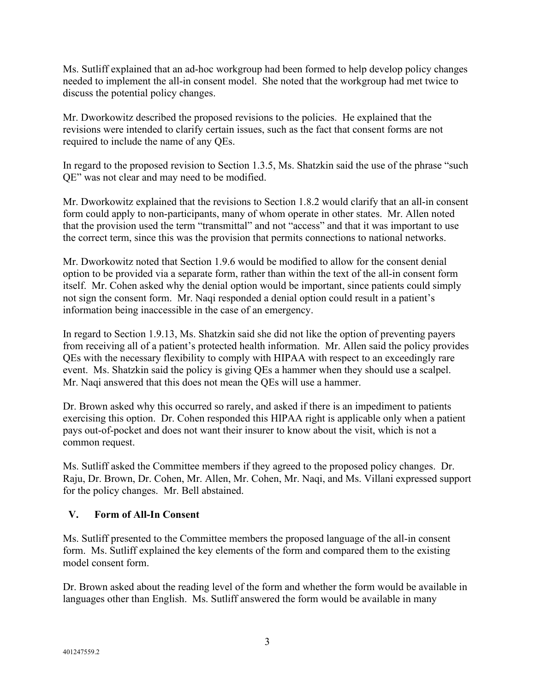Ms. Sutliff explained that an ad-hoc workgroup had been formed to help develop policy changes needed to implement the all-in consent model. She noted that the workgroup had met twice to discuss the potential policy changes.

Mr. Dworkowitz described the proposed revisions to the policies. He explained that the revisions were intended to clarify certain issues, such as the fact that consent forms are not required to include the name of any QEs.

In regard to the proposed revision to Section 1.3.5, Ms. Shatzkin said the use of the phrase "such QE" was not clear and may need to be modified.

Mr. Dworkowitz explained that the revisions to Section 1.8.2 would clarify that an all-in consent form could apply to non-participants, many of whom operate in other states. Mr. Allen noted that the provision used the term "transmittal" and not "access" and that it was important to use the correct term, since this was the provision that permits connections to national networks.

Mr. Dworkowitz noted that Section 1.9.6 would be modified to allow for the consent denial option to be provided via a separate form, rather than within the text of the all-in consent form itself. Mr. Cohen asked why the denial option would be important, since patients could simply not sign the consent form. Mr. Naqi responded a denial option could result in a patient's information being inaccessible in the case of an emergency.

In regard to Section 1.9.13, Ms. Shatzkin said she did not like the option of preventing payers from receiving all of a patient's protected health information. Mr. Allen said the policy provides QEs with the necessary flexibility to comply with HIPAA with respect to an exceedingly rare event. Ms. Shatzkin said the policy is giving QEs a hammer when they should use a scalpel. Mr. Naqi answered that this does not mean the QEs will use a hammer.

Dr. Brown asked why this occurred so rarely, and asked if there is an impediment to patients exercising this option. Dr. Cohen responded this HIPAA right is applicable only when a patient pays out-of-pocket and does not want their insurer to know about the visit, which is not a common request.

Ms. Sutliff asked the Committee members if they agreed to the proposed policy changes. Dr. Raju, Dr. Brown, Dr. Cohen, Mr. Allen, Mr. Cohen, Mr. Naqi, and Ms. Villani expressed support for the policy changes. Mr. Bell abstained.

# **V. Form of All-In Consent**

Ms. Sutliff presented to the Committee members the proposed language of the all-in consent form. Ms. Sutliff explained the key elements of the form and compared them to the existing model consent form.

Dr. Brown asked about the reading level of the form and whether the form would be available in languages other than English. Ms. Sutliff answered the form would be available in many